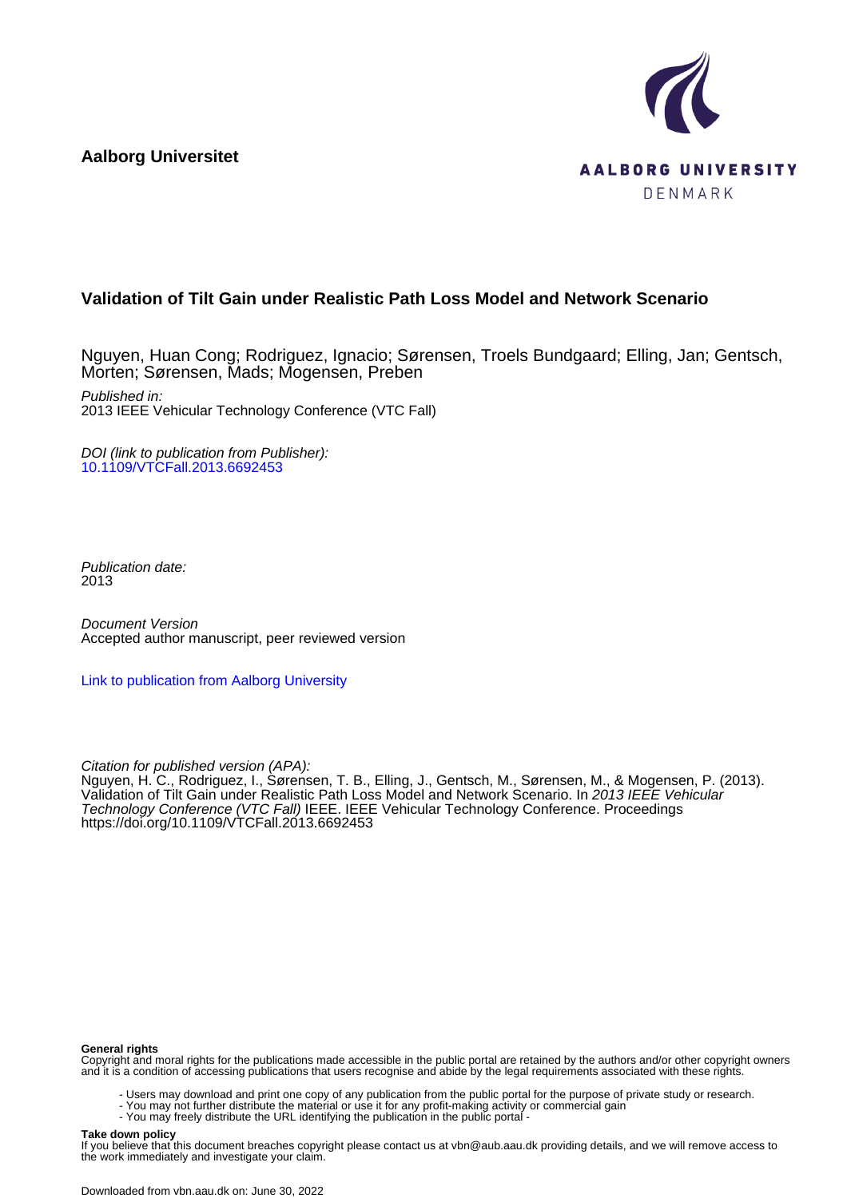**Aalborg Universitet**



# **Validation of Tilt Gain under Realistic Path Loss Model and Network Scenario**

Nguyen, Huan Cong; Rodriguez, Ignacio; Sørensen, Troels Bundgaard; Elling, Jan; Gentsch, Morten; Sørensen, Mads; Mogensen, Preben Published in: 2013 IEEE Vehicular Technology Conference (VTC Fall)

DOI (link to publication from Publisher): [10.1109/VTCFall.2013.6692453](https://doi.org/10.1109/VTCFall.2013.6692453)

Publication date: 2013

Document Version Accepted author manuscript, peer reviewed version

[Link to publication from Aalborg University](https://vbn.aau.dk/en/publications/0d8c7639-5113-41f1-a18d-2a773ea6c412)

Citation for published version (APA):

Nguyen, H. C., Rodriguez, I., Sørensen, T. B., Elling, J., Gentsch, M., Sørensen, M., & Mogensen, P. (2013). Validation of Tilt Gain under Realistic Path Loss Model and Network Scenario. In 2013 IEEE Vehicular Technology Conference (VTC Fall) IEEE. IEEE Vehicular Technology Conference. Proceedings <https://doi.org/10.1109/VTCFall.2013.6692453>

#### **General rights**

Copyright and moral rights for the publications made accessible in the public portal are retained by the authors and/or other copyright owners and it is a condition of accessing publications that users recognise and abide by the legal requirements associated with these rights.

- Users may download and print one copy of any publication from the public portal for the purpose of private study or research.
- You may not further distribute the material or use it for any profit-making activity or commercial gain
	- You may freely distribute the URL identifying the publication in the public portal -

#### **Take down policy**

If you believe that this document breaches copyright please contact us at vbn@aub.aau.dk providing details, and we will remove access to the work immediately and investigate your claim.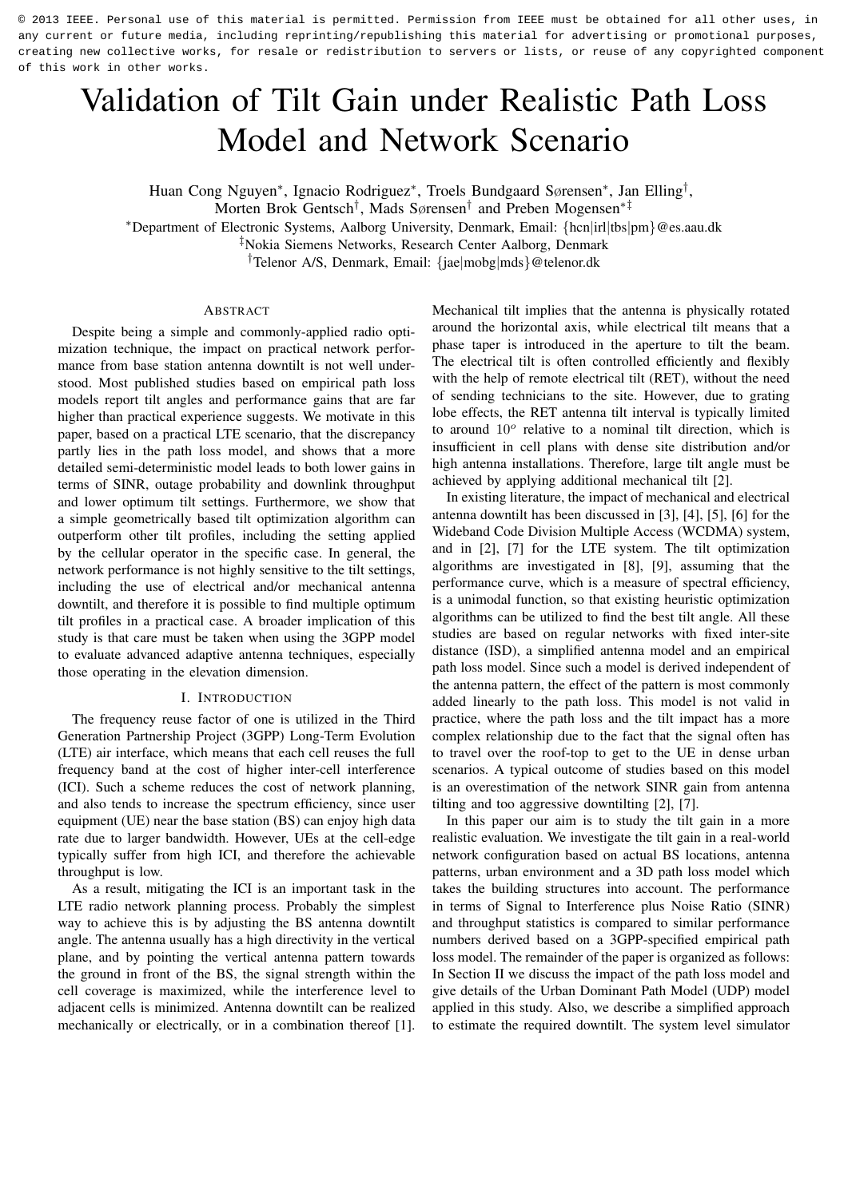# Validation of Tilt Gain under Realistic Path Loss Model and Network Scenario

Huan Cong Nguyen<sup>∗</sup> , Ignacio Rodriguez<sup>∗</sup> , Troels Bundgaard Sørensen<sup>∗</sup> , Jan Elling† ,

<sup>∗</sup>Department of Electronic Systems, Aalborg University, Denmark, Email: {hcn|irl|tbs|pm}@es.aau.dk

‡Nokia Siemens Networks, Research Center Aalborg, Denmark

†Telenor A/S, Denmark, Email: {jae|mobg|mds}@telenor.dk

# ABSTRACT

Despite being a simple and commonly-applied radio optimization technique, the impact on practical network performance from base station antenna downtilt is not well understood. Most published studies based on empirical path loss models report tilt angles and performance gains that are far higher than practical experience suggests. We motivate in this paper, based on a practical LTE scenario, that the discrepancy partly lies in the path loss model, and shows that a more detailed semi-deterministic model leads to both lower gains in terms of SINR, outage probability and downlink throughput and lower optimum tilt settings. Furthermore, we show that a simple geometrically based tilt optimization algorithm can outperform other tilt profiles, including the setting applied by the cellular operator in the specific case. In general, the network performance is not highly sensitive to the tilt settings, including the use of electrical and/or mechanical antenna downtilt, and therefore it is possible to find multiple optimum tilt profiles in a practical case. A broader implication of this study is that care must be taken when using the 3GPP model to evaluate advanced adaptive antenna techniques, especially those operating in the elevation dimension.

### I. INTRODUCTION

The frequency reuse factor of one is utilized in the Third Generation Partnership Project (3GPP) Long-Term Evolution (LTE) air interface, which means that each cell reuses the full frequency band at the cost of higher inter-cell interference (ICI). Such a scheme reduces the cost of network planning, and also tends to increase the spectrum efficiency, since user equipment (UE) near the base station (BS) can enjoy high data rate due to larger bandwidth. However, UEs at the cell-edge typically suffer from high ICI, and therefore the achievable throughput is low.

As a result, mitigating the ICI is an important task in the LTE radio network planning process. Probably the simplest way to achieve this is by adjusting the BS antenna downtilt angle. The antenna usually has a high directivity in the vertical plane, and by pointing the vertical antenna pattern towards the ground in front of the BS, the signal strength within the cell coverage is maximized, while the interference level to adjacent cells is minimized. Antenna downtilt can be realized mechanically or electrically, or in a combination thereof [1].

Mechanical tilt implies that the antenna is physically rotated around the horizontal axis, while electrical tilt means that a phase taper is introduced in the aperture to tilt the beam. The electrical tilt is often controlled efficiently and flexibly with the help of remote electrical tilt (RET), without the need of sending technicians to the site. However, due to grating lobe effects, the RET antenna tilt interval is typically limited to around  $10^{\circ}$  relative to a nominal tilt direction, which is insufficient in cell plans with dense site distribution and/or high antenna installations. Therefore, large tilt angle must be achieved by applying additional mechanical tilt [2].

In existing literature, the impact of mechanical and electrical antenna downtilt has been discussed in [3], [4], [5], [6] for the Wideband Code Division Multiple Access (WCDMA) system, and in [2], [7] for the LTE system. The tilt optimization algorithms are investigated in [8], [9], assuming that the performance curve, which is a measure of spectral efficiency, is a unimodal function, so that existing heuristic optimization algorithms can be utilized to find the best tilt angle. All these studies are based on regular networks with fixed inter-site distance (ISD), a simplified antenna model and an empirical path loss model. Since such a model is derived independent of the antenna pattern, the effect of the pattern is most commonly added linearly to the path loss. This model is not valid in practice, where the path loss and the tilt impact has a more complex relationship due to the fact that the signal often has to travel over the roof-top to get to the UE in dense urban scenarios. A typical outcome of studies based on this model is an overestimation of the network SINR gain from antenna tilting and too aggressive downtilting [2], [7].

In this paper our aim is to study the tilt gain in a more realistic evaluation. We investigate the tilt gain in a real-world network configuration based on actual BS locations, antenna patterns, urban environment and a 3D path loss model which takes the building structures into account. The performance in terms of Signal to Interference plus Noise Ratio (SINR) and throughput statistics is compared to similar performance numbers derived based on a 3GPP-specified empirical path loss model. The remainder of the paper is organized as follows: In Section II we discuss the impact of the path loss model and give details of the Urban Dominant Path Model (UDP) model applied in this study. Also, we describe a simplified approach to estimate the required downtilt. The system level simulator

Morten Brok Gentsch† , Mads Sørensen† and Preben Mogensen∗‡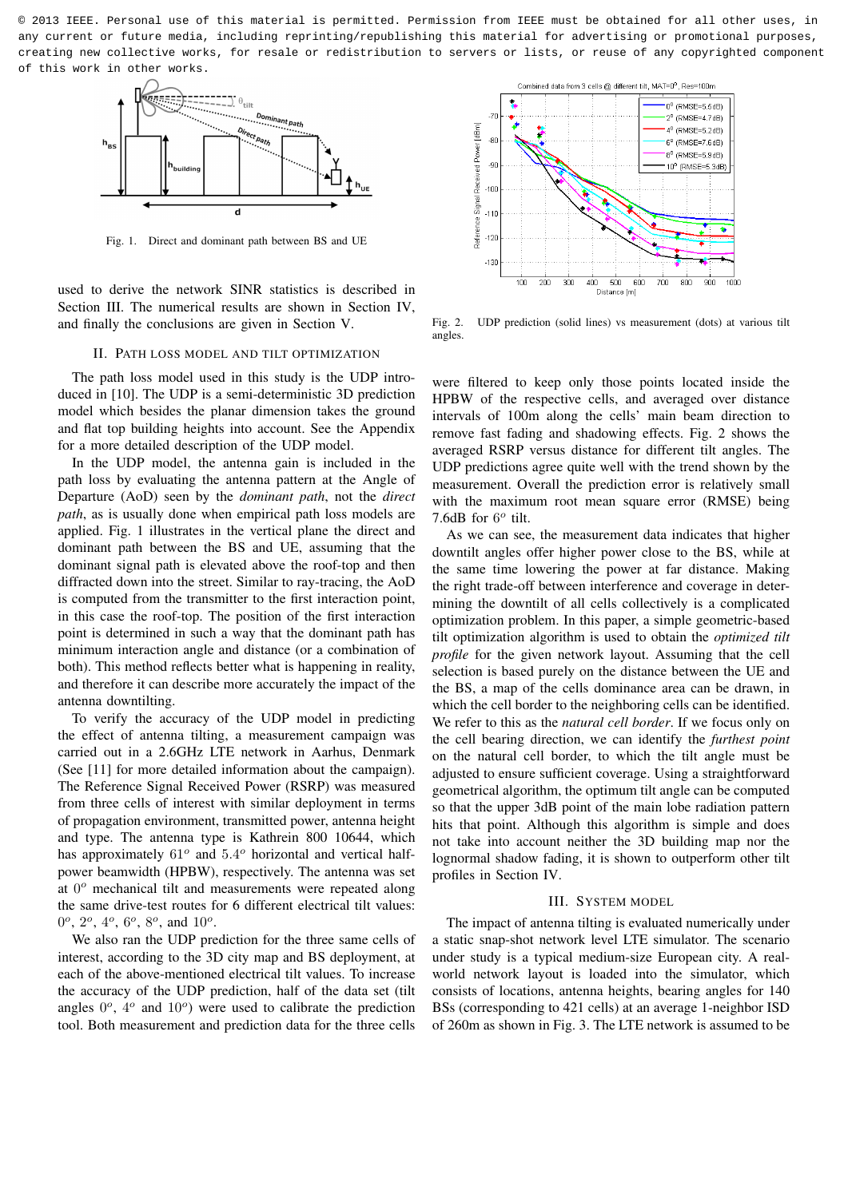

Fig. 1. Direct and dominant path between BS and UE

used to derive the network SINR statistics is described in Section III. The numerical results are shown in Section IV, and finally the conclusions are given in Section V.

#### II. PATH LOSS MODEL AND TILT OPTIMIZATION

The path loss model used in this study is the UDP introduced in [10]. The UDP is a semi-deterministic 3D prediction model which besides the planar dimension takes the ground and flat top building heights into account. See the Appendix for a more detailed description of the UDP model.

In the UDP model, the antenna gain is included in the path loss by evaluating the antenna pattern at the Angle of Departure (AoD) seen by the *dominant path*, not the *direct path*, as is usually done when empirical path loss models are applied. Fig. 1 illustrates in the vertical plane the direct and dominant path between the BS and UE, assuming that the dominant signal path is elevated above the roof-top and then diffracted down into the street. Similar to ray-tracing, the AoD is computed from the transmitter to the first interaction point, in this case the roof-top. The position of the first interaction point is determined in such a way that the dominant path has minimum interaction angle and distance (or a combination of both). This method reflects better what is happening in reality, and therefore it can describe more accurately the impact of the antenna downtilting.

To verify the accuracy of the UDP model in predicting the effect of antenna tilting, a measurement campaign was carried out in a 2.6GHz LTE network in Aarhus, Denmark (See [11] for more detailed information about the campaign). The Reference Signal Received Power (RSRP) was measured from three cells of interest with similar deployment in terms of propagation environment, transmitted power, antenna height and type. The antenna type is Kathrein 800 10644, which has approximately  $61^{\circ}$  and  $5.4^{\circ}$  horizontal and vertical halfpower beamwidth (HPBW), respectively. The antenna was set at  $0^{\circ}$  mechanical tilt and measurements were repeated along the same drive-test routes for 6 different electrical tilt values:  $0^{\circ}$ ,  $2^{\circ}$ ,  $4^{\circ}$ ,  $6^{\circ}$ ,  $8^{\circ}$ , and  $10^{\circ}$ .

We also ran the UDP prediction for the three same cells of interest, according to the 3D city map and BS deployment, at each of the above-mentioned electrical tilt values. To increase the accuracy of the UDP prediction, half of the data set (tilt angles  $0^{\circ}$ ,  $4^{\circ}$  and  $10^{\circ}$ ) were used to calibrate the prediction tool. Both measurement and prediction data for the three cells



Fig. 2. UDP prediction (solid lines) vs measurement (dots) at various tilt angles.

were filtered to keep only those points located inside the HPBW of the respective cells, and averaged over distance intervals of 100m along the cells' main beam direction to remove fast fading and shadowing effects. Fig. 2 shows the averaged RSRP versus distance for different tilt angles. The UDP predictions agree quite well with the trend shown by the measurement. Overall the prediction error is relatively small with the maximum root mean square error (RMSE) being 7.6dB for  $6^o$  tilt.

As we can see, the measurement data indicates that higher downtilt angles offer higher power close to the BS, while at the same time lowering the power at far distance. Making the right trade-off between interference and coverage in determining the downtilt of all cells collectively is a complicated optimization problem. In this paper, a simple geometric-based tilt optimization algorithm is used to obtain the *optimized tilt profile* for the given network layout. Assuming that the cell selection is based purely on the distance between the UE and the BS, a map of the cells dominance area can be drawn, in which the cell border to the neighboring cells can be identified. We refer to this as the *natural cell border*. If we focus only on the cell bearing direction, we can identify the *furthest point* on the natural cell border, to which the tilt angle must be adjusted to ensure sufficient coverage. Using a straightforward geometrical algorithm, the optimum tilt angle can be computed so that the upper 3dB point of the main lobe radiation pattern hits that point. Although this algorithm is simple and does not take into account neither the 3D building map nor the lognormal shadow fading, it is shown to outperform other tilt profiles in Section IV.

#### III. SYSTEM MODEL

The impact of antenna tilting is evaluated numerically under a static snap-shot network level LTE simulator. The scenario under study is a typical medium-size European city. A realworld network layout is loaded into the simulator, which consists of locations, antenna heights, bearing angles for 140 BSs (corresponding to 421 cells) at an average 1-neighbor ISD of 260m as shown in Fig. 3. The LTE network is assumed to be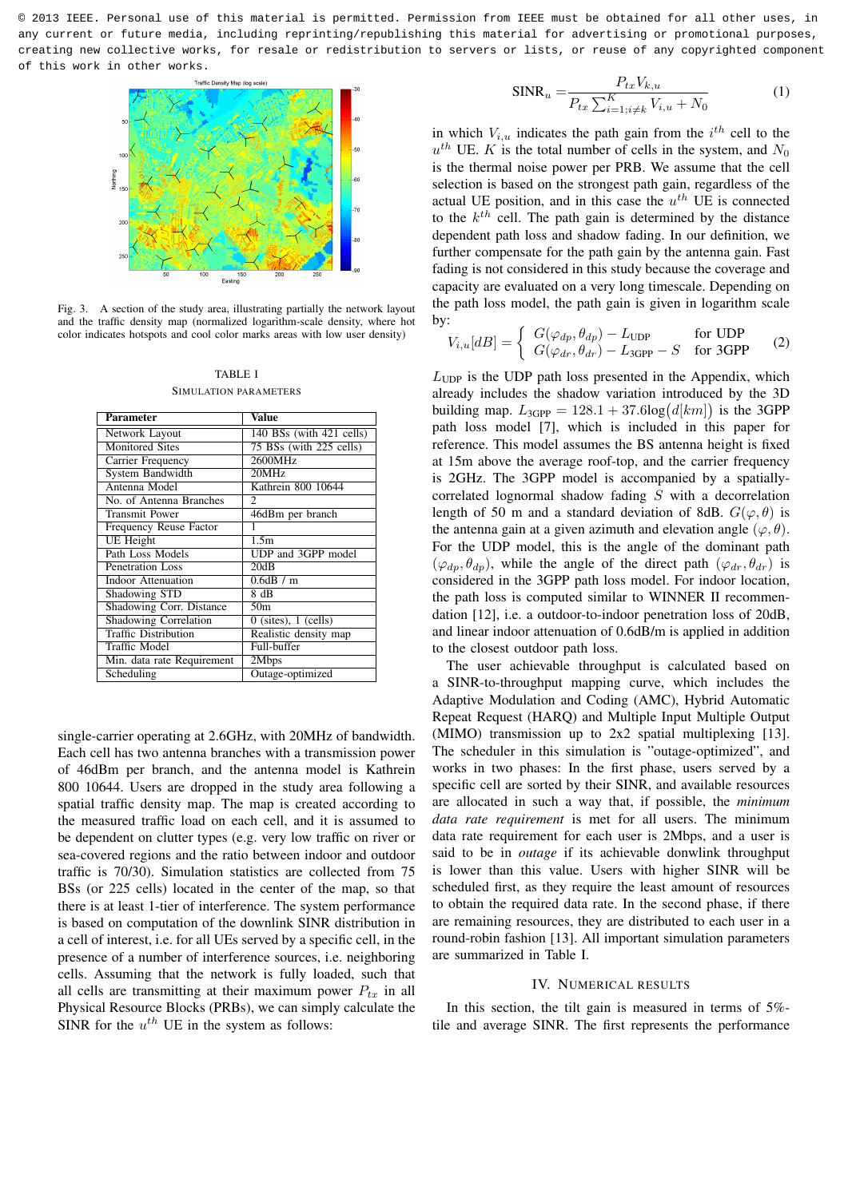

Fig. 3. A section of the study area, illustrating partially the network layout and the traffic density map (normalized logarithm-scale density, where hot color indicates hotspots and cool color marks areas with low user density)

TABLE I SIMULATION PARAMETERS

| Parameter                    | Value                                          |  |  |  |  |  |  |
|------------------------------|------------------------------------------------|--|--|--|--|--|--|
| Network Layout               | 140 BSs (with 421 cells)                       |  |  |  |  |  |  |
| <b>Monitored Sites</b>       | 75 BSs (with 225 cells)                        |  |  |  |  |  |  |
| Carrier Frequency            | 2600MHz                                        |  |  |  |  |  |  |
| System Bandwidth             | 20MHz                                          |  |  |  |  |  |  |
| Antenna Model                | Kathrein 800 10644                             |  |  |  |  |  |  |
| No. of Antenna Branches      | $\mathfrak{D}$                                 |  |  |  |  |  |  |
| Transmit Power               | 46dBm per branch                               |  |  |  |  |  |  |
| Frequency Reuse Factor       | 1                                              |  |  |  |  |  |  |
| <b>UE</b> Height             | 1.5m                                           |  |  |  |  |  |  |
| Path Loss Models             | UDP and 3GPP model                             |  |  |  |  |  |  |
| <b>Penetration Loss</b>      | 20dB                                           |  |  |  |  |  |  |
| Indoor Attenuation           | 0.6dB/m                                        |  |  |  |  |  |  |
| Shadowing STD                | 8 dB                                           |  |  |  |  |  |  |
| Shadowing Corr. Distance     | 50 <sub>m</sub>                                |  |  |  |  |  |  |
| <b>Shadowing Correlation</b> | $\overline{0}$ (sites), $\overline{1}$ (cells) |  |  |  |  |  |  |
| <b>Traffic Distribution</b>  | Realistic density map                          |  |  |  |  |  |  |
| Traffic Model                | Full-buffer                                    |  |  |  |  |  |  |
| Min. data rate Requirement   | 2Mbps                                          |  |  |  |  |  |  |
| Scheduling                   | Outage-optimized                               |  |  |  |  |  |  |

single-carrier operating at 2.6GHz, with 20MHz of bandwidth. Each cell has two antenna branches with a transmission power of 46dBm per branch, and the antenna model is Kathrein 800 10644. Users are dropped in the study area following a spatial traffic density map. The map is created according to the measured traffic load on each cell, and it is assumed to be dependent on clutter types (e.g. very low traffic on river or sea-covered regions and the ratio between indoor and outdoor traffic is 70/30). Simulation statistics are collected from 75 BSs (or 225 cells) located in the center of the map, so that there is at least 1-tier of interference. The system performance is based on computation of the downlink SINR distribution in a cell of interest, i.e. for all UEs served by a specific cell, in the presence of a number of interference sources, i.e. neighboring cells. Assuming that the network is fully loaded, such that all cells are transmitting at their maximum power  $P_{tx}$  in all Physical Resource Blocks (PRBs), we can simply calculate the SINR for the  $u^{th}$  UE in the system as follows:

$$
SINR_u = \frac{P_{tx} V_{k,u}}{P_{tx} \sum_{i=1; i \neq k}^{K} V_{i,u} + N_0}
$$
(1)

in which  $V_{i,u}$  indicates the path gain from the  $i^{th}$  cell to the  $u<sup>th</sup>$  UE. K is the total number of cells in the system, and  $N_0$ is the thermal noise power per PRB. We assume that the cell selection is based on the strongest path gain, regardless of the actual UE position, and in this case the  $u^{th}$  UE is connected to the  $k^{th}$  cell. The path gain is determined by the distance dependent path loss and shadow fading. In our definition, we further compensate for the path gain by the antenna gain. Fast fading is not considered in this study because the coverage and capacity are evaluated on a very long timescale. Depending on the path loss model, the path gain is given in logarithm scale by:

$$
V_{i,u}[dB] = \begin{cases} G(\varphi_{dp}, \theta_{dp}) - L_{\text{UDP}} & \text{for UDP} \\ G(\varphi_{dr}, \theta_{dr}) - L_{\text{JGPP}} - S & \text{for JGPP} \end{cases}
$$
 (2)

 $L_{\text{UDP}}$  is the UDP path loss presented in the Appendix, which already includes the shadow variation introduced by the 3D building map.  $L_{3GPP} = 128.1 + 37.6 \log(d[km])$  is the 3GPP path loss model [7], which is included in this paper for reference. This model assumes the BS antenna height is fixed at 15m above the average roof-top, and the carrier frequency is 2GHz. The 3GPP model is accompanied by a spatiallycorrelated lognormal shadow fading S with a decorrelation length of 50 m and a standard deviation of 8dB.  $G(\varphi, \theta)$  is the antenna gain at a given azimuth and elevation angle  $(\varphi, \theta)$ . For the UDP model, this is the angle of the dominant path  $(\varphi_{dp}, \theta_{dp})$ , while the angle of the direct path  $(\varphi_{dr}, \theta_{dr})$  is considered in the 3GPP path loss model. For indoor location, the path loss is computed similar to WINNER II recommendation [12], i.e. a outdoor-to-indoor penetration loss of 20dB, and linear indoor attenuation of 0.6dB/m is applied in addition to the closest outdoor path loss.

The user achievable throughput is calculated based on a SINR-to-throughput mapping curve, which includes the Adaptive Modulation and Coding (AMC), Hybrid Automatic Repeat Request (HARQ) and Multiple Input Multiple Output (MIMO) transmission up to 2x2 spatial multiplexing [13]. The scheduler in this simulation is "outage-optimized", and works in two phases: In the first phase, users served by a specific cell are sorted by their SINR, and available resources are allocated in such a way that, if possible, the *minimum data rate requirement* is met for all users. The minimum data rate requirement for each user is 2Mbps, and a user is said to be in *outage* if its achievable donwlink throughput is lower than this value. Users with higher SINR will be scheduled first, as they require the least amount of resources to obtain the required data rate. In the second phase, if there are remaining resources, they are distributed to each user in a round-robin fashion [13]. All important simulation parameters are summarized in Table I.

# IV. NUMERICAL RESULTS

In this section, the tilt gain is measured in terms of 5% tile and average SINR. The first represents the performance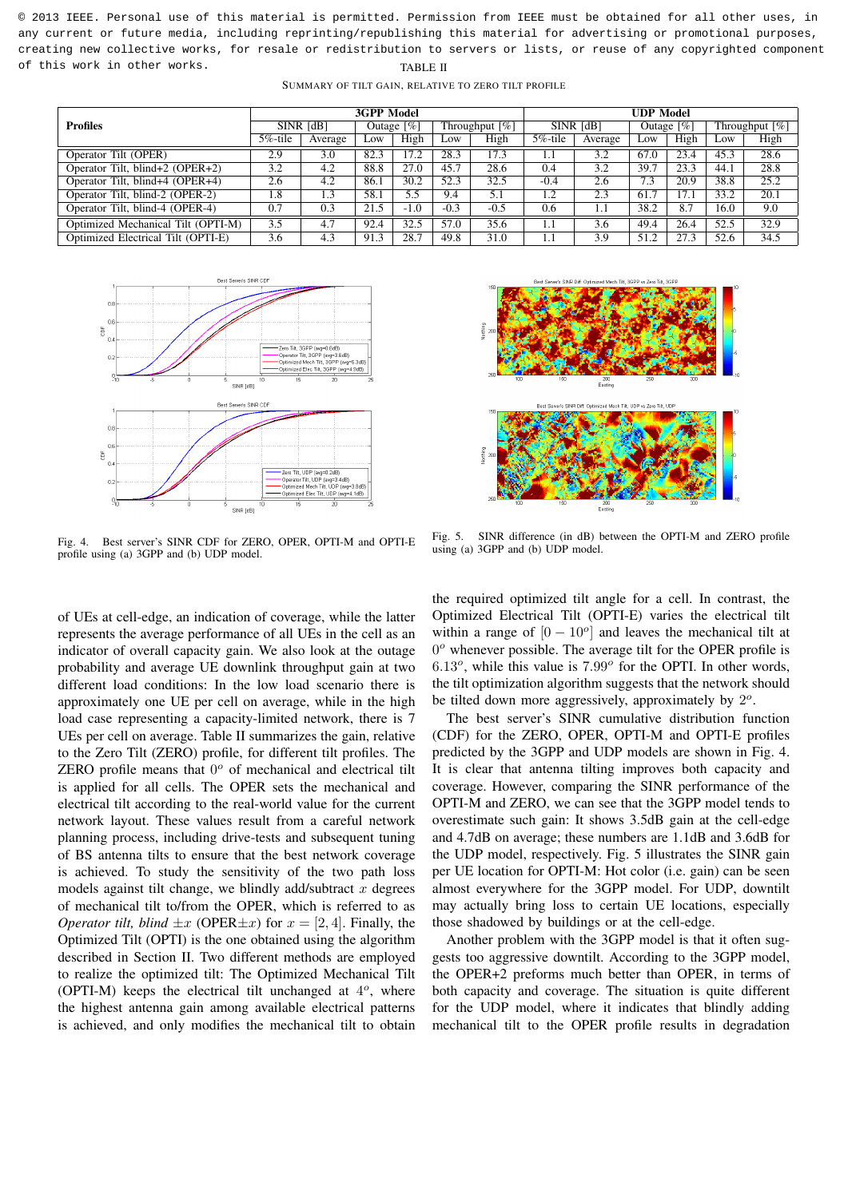|                                    | <b>3GPP Model</b> |         |               |        |                   |        | <b>UDP Model</b> |         |               |      |                               |                   |
|------------------------------------|-------------------|---------|---------------|--------|-------------------|--------|------------------|---------|---------------|------|-------------------------------|-------------------|
| <b>Profiles</b>                    | SINR [dB]         |         | Outage $[\%]$ |        | Throughput $[\%]$ |        | SINR [dB]        |         | Outage $[\%]$ |      | Throughput $\lceil \% \rceil$ |                   |
|                                    | 5%-tile           | Average | Low           | High   | LOW               | High   | $5\%$ -tile      | Average | LOW           | High | Low                           | High              |
| Operator Tilt (OPER)               | 2.9               | 3.0     | 82.3          | 17.2   | 28.3              | 17.3   |                  | 3.2     | 67.0          | 23.4 | 45.3                          | 28.6              |
| Operator Tilt, blind+2 (OPER+2)    | 3.2               | 4.2     | 88.8          | 27.0   | 45.7              | 28.6   | 0.4              | 3.2     | 39.7          | 23.3 | 44.1                          | 28.8              |
| Operator Tilt, blind+4 (OPER+4)    | 2.6               | 4.2     | 86.1          | 30.2   | 52.3              | 32.5   | $-0.4$           | 2.6     | 7.3           | 20.9 | 38.8                          | 25.2              |
| Operator Tilt, blind-2 (OPER-2)    | 1.8               | 1.3     | 58.1          | 5.5    | 9.4               | 5.1    | 1.2              | 2.3     | 61.7          | 17.1 | 33.2                          | $\overline{20.1}$ |
| Operator Tilt, blind-4 (OPER-4)    | 0.7               | 0.3     | 21.5          | $-1.0$ | $-0.3$            | $-0.5$ | 0.6              |         | 38.2          | 8.7  | 16.0                          | 9.0               |
| Optimized Mechanical Tilt (OPTI-M) | 3.5               | 4.7     | 92.4          | 32.5   | 57.0              | 35.6   | 1.1              | 3.6     | 49.4          | 26.4 | 52.5                          | 32.9              |
| Optimized Electrical Tilt (OPTI-E) | 3.6               | 4.3     | 91.3          | 28.7   | 49.8              | 31.0   | 1.1              | 3.9     | 51.2          | 27.3 | 52.6                          | 34.5              |

SUMMARY OF TILT GAIN, RELATIVE TO ZERO TILT PROFILE



Fig. 4. Best server's SINR CDF for ZERO, OPER, OPTI-M and OPTI-E profile using (a) 3GPP and (b) UDP model.

Fig. 5. SINR difference (in dB) between the OPTI-M and ZERO profile using (a) 3GPP and (b) UDP model.

of UEs at cell-edge, an indication of coverage, while the latter represents the average performance of all UEs in the cell as an indicator of overall capacity gain. We also look at the outage probability and average UE downlink throughput gain at two different load conditions: In the low load scenario there is approximately one UE per cell on average, while in the high load case representing a capacity-limited network, there is 7 UEs per cell on average. Table II summarizes the gain, relative to the Zero Tilt (ZERO) profile, for different tilt profiles. The ZERO profile means that  $0^{\circ}$  of mechanical and electrical tilt is applied for all cells. The OPER sets the mechanical and electrical tilt according to the real-world value for the current network layout. These values result from a careful network planning process, including drive-tests and subsequent tuning of BS antenna tilts to ensure that the best network coverage is achieved. To study the sensitivity of the two path loss models against tilt change, we blindly add/subtract  $x$  degrees of mechanical tilt to/from the OPER, which is referred to as *Operator tilt, blind*  $\pm x$  (OPER $\pm x$ ) for  $x = [2, 4]$ . Finally, the Optimized Tilt (OPTI) is the one obtained using the algorithm described in Section II. Two different methods are employed to realize the optimized tilt: The Optimized Mechanical Tilt (OPTI-M) keeps the electrical tilt unchanged at  $4^o$ , where the highest antenna gain among available electrical patterns is achieved, and only modifies the mechanical tilt to obtain

the required optimized tilt angle for a cell. In contrast, the Optimized Electrical Tilt (OPTI-E) varies the electrical tilt within a range of  $[0 - 10^{\circ}]$  and leaves the mechanical tilt at 0<sup>o</sup> whenever possible. The average tilt for the OPER profile is  $6.13^{\circ}$ , while this value is  $7.99^{\circ}$  for the OPTI. In other words, the tilt optimization algorithm suggests that the network should be tilted down more aggressively, approximately by  $2^o$ .

The best server's SINR cumulative distribution function (CDF) for the ZERO, OPER, OPTI-M and OPTI-E profiles predicted by the 3GPP and UDP models are shown in Fig. 4. It is clear that antenna tilting improves both capacity and coverage. However, comparing the SINR performance of the OPTI-M and ZERO, we can see that the 3GPP model tends to overestimate such gain: It shows 3.5dB gain at the cell-edge and 4.7dB on average; these numbers are 1.1dB and 3.6dB for the UDP model, respectively. Fig. 5 illustrates the SINR gain per UE location for OPTI-M: Hot color (i.e. gain) can be seen almost everywhere for the 3GPP model. For UDP, downtilt may actually bring loss to certain UE locations, especially those shadowed by buildings or at the cell-edge.

Another problem with the 3GPP model is that it often suggests too aggressive downtilt. According to the 3GPP model, the OPER+2 preforms much better than OPER, in terms of both capacity and coverage. The situation is quite different for the UDP model, where it indicates that blindly adding mechanical tilt to the OPER profile results in degradation